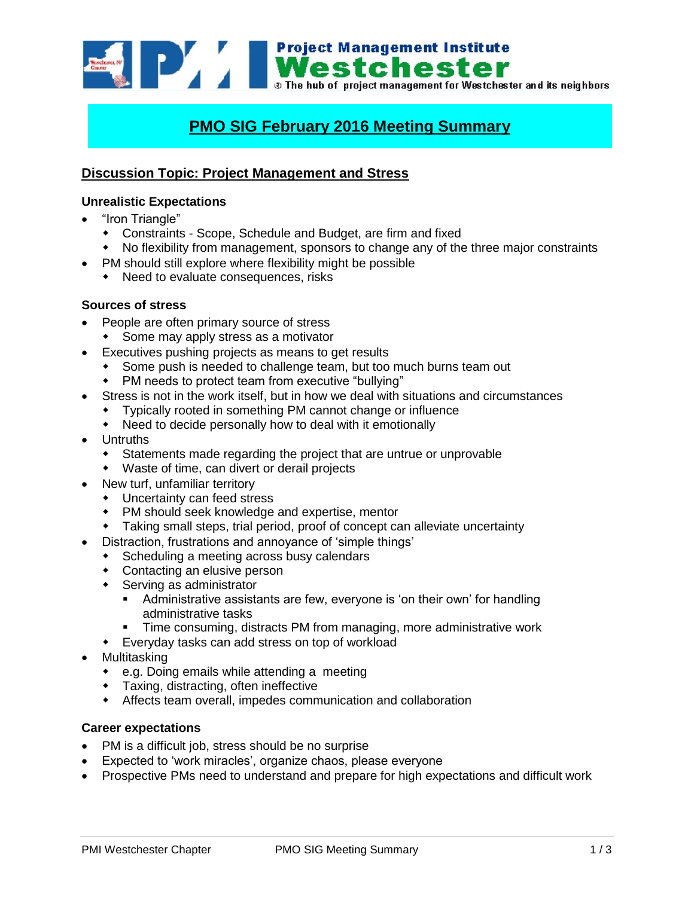**Example 1998 Mestchester**<br>**Mestchester**<br>**Mestchester** and its neighbors<br>**Mestchester** and its neighbors

# **PMO SIG February 2016 Meeting Summary**

## **Discussion Topic: Project Management and Stress**

#### **Unrealistic Expectations**

- "Iron Triangle"
	- Constraints Scope, Schedule and Budget, are firm and fixed
	- No flexibility from management, sponsors to change any of the three major constraints
- PM should still explore where flexibility might be possible
	- Need to evaluate consequences, risks

#### **Sources of stress**

- People are often primary source of stress
	- Some may apply stress as a motivator
- Executives pushing projects as means to get results
	- Some push is needed to challenge team, but too much burns team out
	- PM needs to protect team from executive "bullying"
- Stress is not in the work itself, but in how we deal with situations and circumstances
	- Typically rooted in something PM cannot change or influence
	- Need to decide personally how to deal with it emotionally
- Untruths
	- Statements made regarding the project that are untrue or unprovable
	- Waste of time, can divert or derail projects
- New turf, unfamiliar territory
	- Uncertainty can feed stress
	- PM should seek knowledge and expertise, mentor
	- Taking small steps, trial period, proof of concept can alleviate uncertainty
- Distraction, frustrations and annoyance of 'simple things'
	- Scheduling a meeting across busy calendars
	- Contacting an elusive person
	- Serving as administrator
		- Administrative assistants are few, everyone is 'on their own' for handling administrative tasks
		- **Time consuming, distracts PM from managing, more administrative work**
	- Everyday tasks can add stress on top of workload
- Multitasking
	- e.g. Doing emails while attending a meeting
	- Taxing, distracting, often ineffective
	- Affects team overall, impedes communication and collaboration

#### **Career expectations**

- PM is a difficult job, stress should be no surprise
- Expected to 'work miracles', organize chaos, please everyone
- Prospective PMs need to understand and prepare for high expectations and difficult work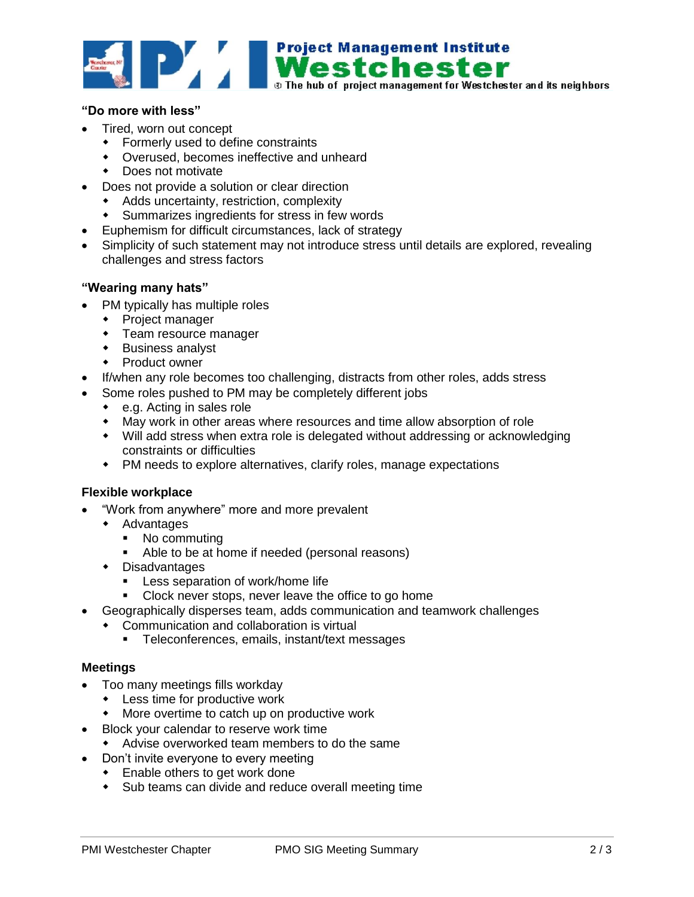

#### **"Do more with less"**

- Tired, worn out concept
	- Formerly used to define constraints
	- Overused, becomes ineffective and unheard
	- **Does not motivate**
- Does not provide a solution or clear direction
	- Adds uncertainty, restriction, complexity
	- Summarizes ingredients for stress in few words
- Euphemism for difficult circumstances, lack of strategy
- Simplicity of such statement may not introduce stress until details are explored, revealing challenges and stress factors

#### **"Wearing many hats"**

- PM typically has multiple roles
	- Project manager
	- Team resource manager
	- Business analyst
	- Product owner
- If/when any role becomes too challenging, distracts from other roles, adds stress
- Some roles pushed to PM may be completely different jobs
	- ◆ e.g. Acting in sales role
	- May work in other areas where resources and time allow absorption of role
	- Will add stress when extra role is delegated without addressing or acknowledging constraints or difficulties
	- PM needs to explore alternatives, clarify roles, manage expectations

#### **Flexible workplace**

- "Work from anywhere" more and more prevalent
	- Advantages
		- No commuting
		- Able to be at home if needed (personal reasons)
	- Disadvantages
		- **Less separation of work/home life**
		- **Clock never stops, never leave the office to go home**
- Geographically disperses team, adds communication and teamwork challenges
	- Communication and collaboration is virtual
		- **Teleconferences, emails, instant/text messages**

#### **Meetings**

- Too many meetings fills workday
	- Less time for productive work
	- More overtime to catch up on productive work
- Block your calendar to reserve work time
	- Advise overworked team members to do the same
- Don't invite everyone to every meeting
	- **Enable others to get work done**
	- Sub teams can divide and reduce overall meeting time